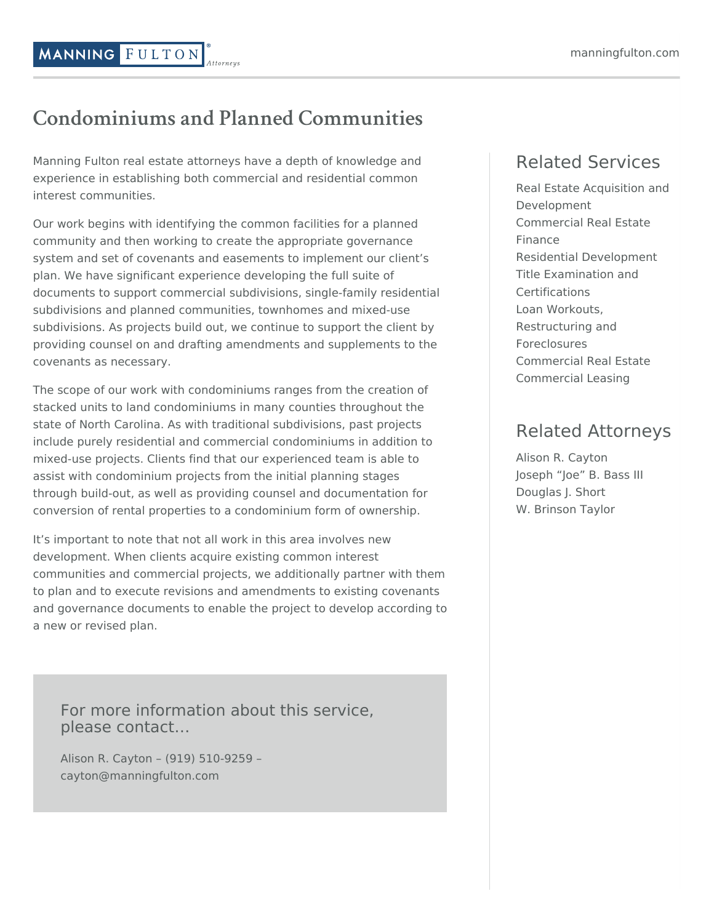## manningfulton.com

## **Condominiums and Planned Communities**

Manning Fulton real estate attorneys have a depth of knowledge and experience in establishing both commercial and residential common interest communities.

Our work begins with identifying the common facilities for a planned community and then working to create the appropriate governance system and set of covenants and easements to implement our client's plan. We have significant experience developing the full suite of documents to support commercial subdivisions, single-family residential subdivisions and planned communities, townhomes and mixed-use subdivisions. As projects build out, we continue to support the client by providing counsel on and drafting amendments and supplements to the covenants as necessary.

The scope of our work with condominiums ranges from the creation of stacked units to land condominiums in many counties throughout the state of North Carolina. As with traditional subdivisions, past projects include purely residential and commercial condominiums in addition to mixed-use projects. Clients find that our experienced team is able to assist with condominium projects from the initial planning stages through build-out, as well as providing counsel and documentation for conversion of rental properties to a condominium form of ownership.

It's important to note that not all work in this area involves new development. When clients acquire existing common interest communities and commercial projects, we additionally partner with them to plan and to execute revisions and amendments to existing covenants and governance documents to enable the project to develop according to a new or revised plan.

For more information about this service, please contact…

Alison R. Cayton – (919) 510-9259 – cayton@manningfulton.com

## Related Services

Real Estate Acquisition and [Development](https://www.manningfulton.com/services/acquisition-and-development/) [Commercial](https://www.manningfulton.com/services/real-estate-finance/) Real Estate Finance Residential [Development](https://www.manningfulton.com/services/residential-development/) Title Examination and **[Certifications](https://www.manningfulton.com/services/title-examination-certifications/)** Loan Workouts, [Restructuring](https://www.manningfulton.com/services/loan-workouts-restructuring-and-foreclosures/) and Foreclosures [Commercial](https://www.manningfulton.com/services/commercial-real-estate/) Real Estate [Commercial](https://www.manningfulton.com/services/commercial-leasing/) Leasing

## Related Attorneys

Alison R. [Cayton](https://www.manningfulton.com/people/attorneys/alison-r-cayton/) [Joseph](https://www.manningfulton.com/people/attorneys/joseph-b-bass-iii/) "Joe" B. Bass III [Douglas](https://www.manningfulton.com/people/attorneys/douglas-j-short/) J. Short W. [Brinson](https://www.manningfulton.com/people/attorneys/w-brinson-taylor/) Taylor